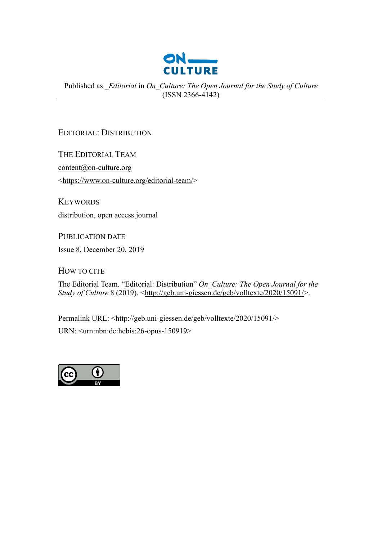

Published as *\_Editorial* in *On\_Culture: The Open Journal for the Study of Culture* (ISSN 2366-4142)

## EDITORIAL: DISTRIBUTION

THE EDITORIAL TEAM [content@on-culture.org](mailto:content@on-culture.org?subject=On_Culture:%20Editorial:%20Distribution) [<https://www.on-culture.org/editorial-team/>](https://www.on-culture.org/editorial-team/)

**KEYWORDS** distribution, open access journal

PUBLICATION DATE

Issue 8, December 20, 2019

HOW TO CITE

The Editorial Team. "Editorial: Distribution" *On\_Culture: The Open Journal for the Study of Culture* 8 (2019). [<http://geb.uni-giessen.de/geb/volltexte/2020/15091/>](http://geb.uni-giessen.de/geb/volltexte/2020/15091/).

Permalink URL: [<http://geb.uni-giessen.de/geb/volltexte/2020/15091/>](http://geb.uni-giessen.de/geb/volltexte/2020/15091/) URN: <urn:nbn:de:hebis:26-opus-150919>

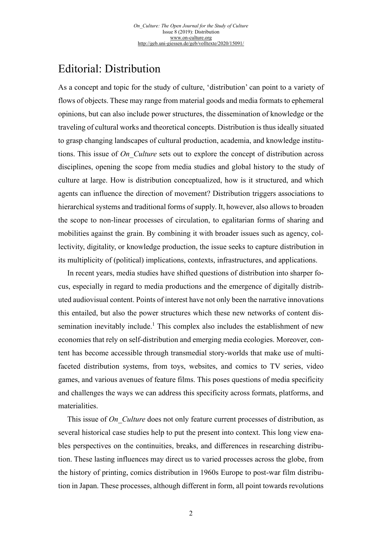## Editorial: Distribution

As a concept and topic for the study of culture, 'distribution' can point to a variety of flows of objects. These may range from material goods and media formats to ephemeral opinions, but can also include power structures, the dissemination of knowledge or the traveling of cultural works and theoretical concepts. Distribution is thus ideally situated to grasp changing landscapes of cultural production, academia, and knowledge institutions. This issue of *On\_Culture* sets out to explore the concept of distribution across disciplines, opening the scope from media studies and global history to the study of culture at large. How is distribution conceptualized, how is it structured, and which agents can influence the direction of movement? Distribution triggers associations to hierarchical systems and traditional forms of supply. It, however, also allows to broaden the scope to non-linear processes of circulation, to egalitarian forms of sharing and mobilities against the grain. By combining it with broader issues such as agency, collectivity, digitality, or knowledge production, the issue seeks to capture distribution in its multiplicity of (political) implications, contexts, infrastructures, and applications.

<span id="page-1-0"></span>In recent years, media studies have shifted questions of distribution into sharper focus, especially in regard to media productions and the emergence of digitally distributed audiovisual content. Points of interest have not only been the narrative innovations this entailed, but also the power structures which these new networks of content dis-semination inevitably include.<sup>[1](#page-4-0)</sup> This complex also includes the establishment of new economies that rely on self-distribution and emerging media ecologies. Moreover, content has become accessible through transmedial story-worlds that make use of multifaceted distribution systems, from toys, websites, and comics to TV series, video games, and various avenues of feature films. This poses questions of media specificity and challenges the ways we can address this specificity across formats, platforms, and materialities.

This issue of *On Culture* does not only feature current processes of distribution, as several historical case studies help to put the present into context. This long view enables perspectives on the continuities, breaks, and differences in researching distribution. These lasting influences may direct us to varied processes across the globe, from the history of printing, comics distribution in 1960s Europe to post-war film distribution in Japan. These processes, although different in form, all point towards revolutions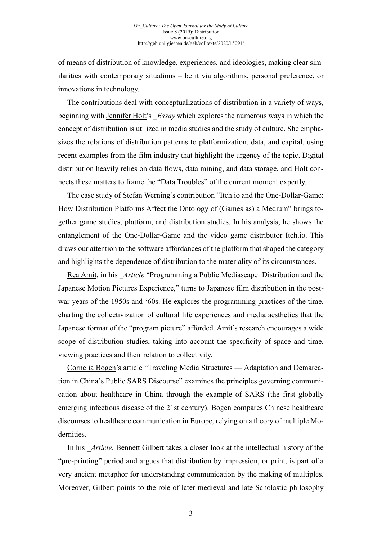of means of distribution of knowledge, experiences, and ideologies, making clear similarities with contemporary situations – be it via algorithms, personal preference, or innovations in technology.

The contributions deal with conceptualizations of distribution in a variety of ways, beginning with [Jennifer Holt'](http://geb.uni-giessen.de/geb/volltexte/2020/15092/)s \_*Essay* which explores the numerous ways in which the concept of distribution is utilized in media studies and the study of culture. She emphasizes the relations of distribution patterns to platformization, data, and capital, using recent examples from the film industry that highlight the urgency of the topic. Digital distribution heavily relies on data flows, data mining, and data storage, and Holt connects these matters to frame the "Data Troubles" of the current moment expertly.

The case study of [Stefan Werning'](http://geb.uni-giessen.de/geb/volltexte/2020/15093/)s contribution "Itch.io and the One-Dollar-Game: How Distribution Platforms Affect the Ontology of (Games as) a Medium" brings together game studies, platform, and distribution studies. In his analysis, he shows the entanglement of the One-Dollar-Game and the video game distributor Itch.io. This draws our attention to the software affordances of the platform that shaped the category and highlights the dependence of distribution to the materiality of its circumstances.

[Rea Amit,](http://geb.uni-giessen.de/geb/volltexte/2020/15094/) in his *\_Article* "Programming a Public Mediascape: Distribution and the Japanese Motion Pictures Experience," turns to Japanese film distribution in the postwar years of the 1950s and '60s. He explores the programming practices of the time, charting the collectivization of cultural life experiences and media aesthetics that the Japanese format of the "program picture" afforded. Amit's research encourages a wide scope of distribution studies, taking into account the specificity of space and time, viewing practices and their relation to collectivity.

[Cornelia Bogen'](http://geb.uni-giessen.de/geb/volltexte/2020/15095/)s article "Traveling Media Structures — Adaptation and Demarcation in China's Public SARS Discourse" examines the principles governing communication about healthcare in China through the example of SARS (the first globally emerging infectious disease of the 21st century). Bogen compares Chinese healthcare discourses to healthcare communication in Europe, relying on a theory of multiple Modernities.

In his *Article*, [Bennett Gilbert](http://geb.uni-giessen.de/geb/volltexte/2020/15106/) takes a closer look at the intellectual history of the "pre-printing" period and argues that distribution by impression, or print, is part of a very ancient metaphor for understanding communication by the making of multiples. Moreover, Gilbert points to the role of later medieval and late Scholastic philosophy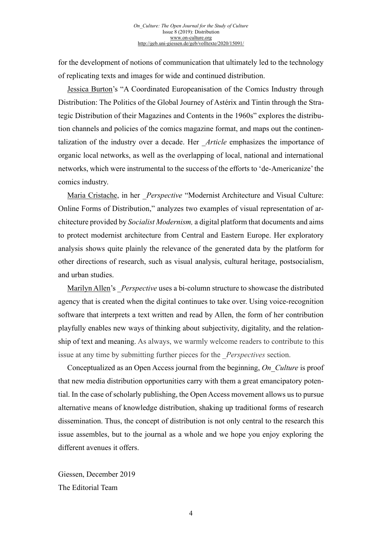for the development of notions of communication that ultimately led to the technology of replicating texts and images for wide and continued distribution.

[Jessica Burton'](http://geb.uni-giessen.de/geb/volltexte/2020/15096/)s "A Coordinated Europeanisation of the Comics Industry through Distribution: The Politics of the Global Journey of Astérix and Tintin through the Strategic Distribution of their Magazines and Contents in the 1960s" explores the distribution channels and policies of the comics magazine format, and maps out the continentalization of the industry over a decade. Her *Article* emphasizes the importance of organic local networks, as well as the overlapping of local, national and international networks, which were instrumental to the success of the efforts to 'de-Americanize' the comics industry.

[Maria Cristache,](http://geb.uni-giessen.de/geb/volltexte/2020/15098) in her *Perspective* "Modernist Architecture and Visual Culture: Online Forms of Distribution," analyzes two examples of visual representation of architecture provided by *Socialist Modernism,* a digital platform that documents and aims to protect modernist architecture from Central and Eastern Europe. Her exploratory analysis shows quite plainly the relevance of the generated data by the platform for other directions of research, such as visual analysis, cultural heritage, postsocialism, and urban studies.

[Marilyn Allen'](http://geb.uni-giessen.de/geb/volltexte/2020/15097/)s *Perspective* uses a bi-column structure to showcase the distributed agency that is created when the digital continues to take over. Using voice-recognition software that interprets a text written and read by Allen, the form of her contribution playfully enables new ways of thinking about subjectivity, digitality, and the relationship of text and meaning. As always, we warmly welcome readers to contribute to this issue at any time by submitting further pieces for the \_*Perspectives* section.

Conceptualized as an Open Access journal from the beginning, *On\_Culture* is proof that new media distribution opportunities carry with them a great emancipatory potential. In the case of scholarly publishing, the Open Access movement allows us to pursue alternative means of knowledge distribution, shaking up traditional forms of research dissemination. Thus, the concept of distribution is not only central to the research this issue assembles, but to the journal as a whole and we hope you enjoy exploring the different avenues it offers.

Giessen, December 2019 The Editorial Team